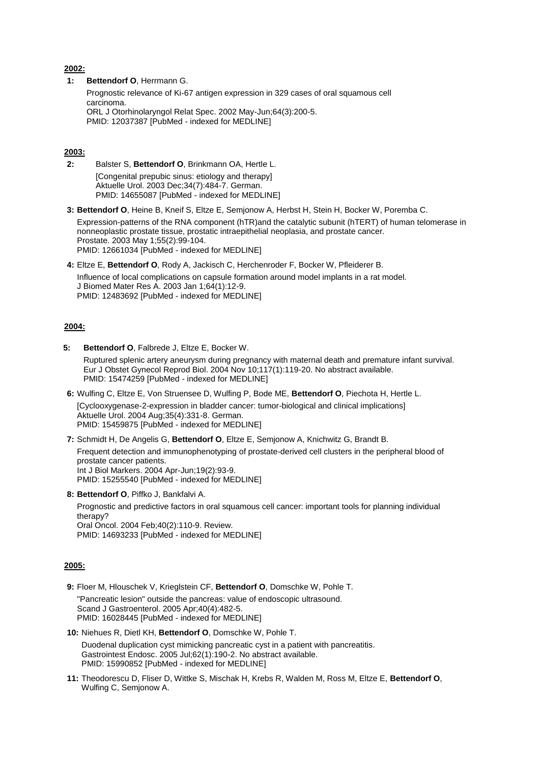### **2002:**

**1: [Bettendorf O](http://www.ncbi.nlm.nih.gov/entrez/query.fcgi?db=pubmed&cmd=Retrieve&dopt=AbstractPlus&list_uids=12037387&query_hl=1&itool=pubmed_docsum)**, Herrmann G.

Prognostic relevance of Ki-67 antigen expression in 329 cases of oral squamous cell carcinoma. ORL J Otorhinolaryngol Relat Spec. 2002 May-Jun;64(3):200-5. PMID: 12037387 [PubMed - indexed for MEDLINE]

## **2003:**

**2:** Balster S, **Bettendorf O**[, Brinkmann OA, Hertle L.](http://www.ncbi.nlm.nih.gov/entrez/query.fcgi?db=pubmed&cmd=Retrieve&dopt=AbstractPlus&list_uids=14655087&query_hl=1&itool=pubmed_docsum) [Congenital prepubic sinus: etiology and therapy] Aktuelle Urol. 2003 Dec;34(7):484-7. German. PMID: 14655087 [PubMed - indexed for MEDLINE]

**3: Bettendorf O**[, Heine B, Kneif S, Eltze E, Semjonow A, Herbst H, Stein H, Bocker W, Poremba C.](http://www.ncbi.nlm.nih.gov/entrez/query.fcgi?db=pubmed&cmd=Retrieve&dopt=AbstractPlus&list_uids=12661034&query_hl=1&itool=pubmed_docsum)

Expression-patterns of the RNA component (hTR)and the catalytic subunit (hTERT) of human telomerase in nonneoplastic prostate tissue, prostatic intraepithelial neoplasia, and prostate cancer. Prostate. 2003 May 1;55(2):99-104. PMID: 12661034 [PubMed - indexed for MEDLINE]

**4:** Eltze E, **Bettendorf O**[, Rody A, Jackisch C, Herchenroder F, Bocker W, Pfleiderer B.](http://www.ncbi.nlm.nih.gov/entrez/query.fcgi?db=pubmed&cmd=Retrieve&dopt=AbstractPlus&list_uids=12483692&query_hl=1&itool=pubmed_docsum)

Influence of local complications on capsule formation around model implants in a rat model. J Biomed Mater Res A. 2003 Jan 1;64(1):12-9. PMID: 12483692 [PubMed - indexed for MEDLINE]

### **2004:**

**5: Bettendorf O**[, Falbrede J, Eltze E, Bocker W.](http://www.ncbi.nlm.nih.gov/entrez/query.fcgi?db=pubmed&cmd=Retrieve&dopt=AbstractPlus&list_uids=15474259&query_hl=1&itool=pubmed_docsum)

Ruptured splenic artery aneurysm during pregnancy with maternal death and premature infant survival. Eur J Obstet Gynecol Reprod Biol. 2004 Nov 10;117(1):119-20. No abstract available. PMID: 15474259 [PubMed - indexed for MEDLINE]

**6:** [Wulfing C, Eltze E, Von Struensee D, Wulfing P, Bode ME,](http://www.ncbi.nlm.nih.gov/entrez/query.fcgi?db=pubmed&cmd=Retrieve&dopt=AbstractPlus&list_uids=15459875&query_hl=1&itool=pubmed_docsum) **Bettendorf O**, Piechota H, Hertle L. [Cyclooxygenase-2-expression in bladder cancer: tumor-biological and clinical implications] Aktuelle Urol. 2004 Aug;35(4):331-8. German. PMID: 15459875 [PubMed - indexed for MEDLINE]

**7:** Schmidt H, De Angelis G, **Bettendorf O**[, Eltze E, Semjonow A, Knichwitz G, Brandt B.](http://www.ncbi.nlm.nih.gov/entrez/query.fcgi?db=pubmed&cmd=Retrieve&dopt=AbstractPlus&list_uids=15255540&query_hl=1&itool=pubmed_docsum)

Frequent detection and immunophenotyping of prostate-derived cell clusters in the peripheral blood of prostate cancer patients. Int J Biol Markers. 2004 Apr-Jun;19(2):93-9. PMID: 15255540 [PubMed - indexed for MEDLINE]

**8: Bettendorf O**[, Piffko J, Bankfalvi A.](http://www.ncbi.nlm.nih.gov/entrez/query.fcgi?db=pubmed&cmd=Retrieve&dopt=AbstractPlus&list_uids=14693233&query_hl=1&itool=pubmed_docsum)

Prognostic and predictive factors in oral squamous cell cancer: important tools for planning individual therapy? Oral Oncol. 2004 Feb;40(2):110-9. Review. PMID: 14693233 [PubMed - indexed for MEDLINE]

#### **2005:**

**9:** Floer M, Hlouschek V, Krieglstein CF, **Bettendorf O**[, Domschke W, Pohle T.](http://www.ncbi.nlm.nih.gov/entrez/query.fcgi?db=pubmed&cmd=Retrieve&dopt=AbstractPlus&list_uids=16028445&query_hl=1&itool=pubmed_docsum) "Pancreatic lesion" outside the pancreas: value of endoscopic ultrasound. Scand J Gastroenterol. 2005 Apr;40(4):482-5. PMID: 16028445 [PubMed - indexed for MEDLINE]

**10:** Niehues R, Dietl KH, **Bettendorf O**[, Domschke W, Pohle T.](http://www.ncbi.nlm.nih.gov/entrez/query.fcgi?db=pubmed&cmd=Retrieve&dopt=AbstractPlus&list_uids=15990852&query_hl=1&itool=pubmed_docsum) Duodenal duplication cyst mimicking pancreatic cyst in a patient with pancreatitis. Gastrointest Endosc. 2005 Jul;62(1):190-2. No abstract available.

PMID: 15990852 [PubMed - indexed for MEDLINE]

**11:** [Theodorescu D, Fliser D, Wittke S, Mischak H, Krebs R, Walden M, Ross M, Eltze E,](http://www.ncbi.nlm.nih.gov/entrez/query.fcgi?db=pubmed&cmd=Retrieve&dopt=AbstractPlus&list_uids=15981297&query_hl=1&itool=pubmed_docsum) **Bettendorf O**, [Wulfing C, Semjonow A.](http://www.ncbi.nlm.nih.gov/entrez/query.fcgi?db=pubmed&cmd=Retrieve&dopt=AbstractPlus&list_uids=15981297&query_hl=1&itool=pubmed_docsum)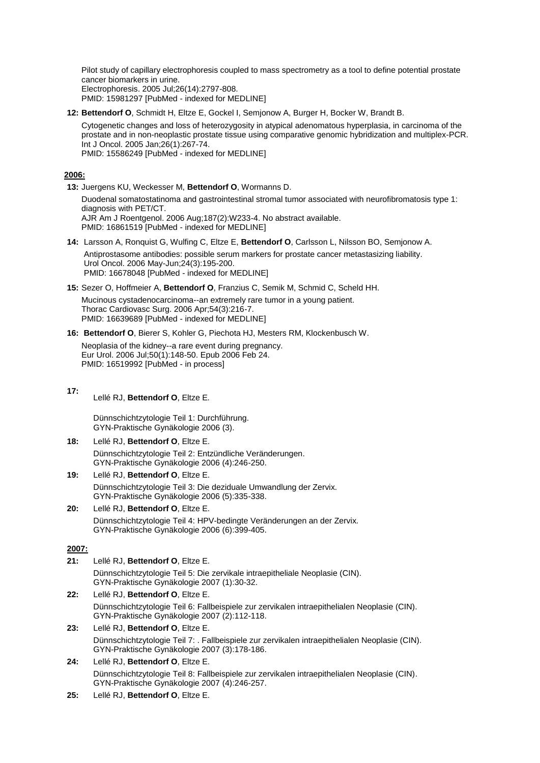Pilot study of capillary electrophoresis coupled to mass spectrometry as a tool to define potential prostate cancer biomarkers in urine. Electrophoresis. 2005 Jul;26(14):2797-808. PMID: 15981297 [PubMed - indexed for MEDLINE]

**12: Bettendorf O**[, Schmidt H, Eltze E, Gockel I, Semjonow A, Burger H, Bocker W, Brandt B.](http://www.ncbi.nlm.nih.gov/entrez/query.fcgi?db=pubmed&cmd=Retrieve&dopt=AbstractPlus&list_uids=15586249&query_hl=1&itool=pubmed_docsum)

Cytogenetic changes and loss of heterozygosity in atypical adenomatous hyperplasia, in carcinoma of the prostate and in non-neoplastic prostate tissue using comparative genomic hybridization and multiplex-PCR. Int J Oncol. 2005 Jan;26(1):267-74. PMID: 15586249 [PubMed - indexed for MEDLINE]

## **2006:**

**13:** [Juergens KU, Weckesser M,](http://www.ncbi.nlm.nih.gov/entrez/query.fcgi?db=pubmed&cmd=Retrieve&dopt=AbstractPlus&list_uids=16861519&query_hl=1&itool=pubmed_docsum) **Bettendorf O**, Wormanns D.

Duodenal somatostatinoma and gastrointestinal stromal tumor associated with neurofibromatosis type 1: diagnosis with PET/CT. AJR Am J Roentgenol. 2006 Aug;187(2):W233-4. No abstract available. PMID: 16861519 [PubMed - indexed for MEDLINE]

- **14:** [Larsson A, Ronquist G, Wulfing C, Eltze E,](http://www.ncbi.nlm.nih.gov/entrez/query.fcgi?db=pubmed&cmd=Retrieve&dopt=AbstractPlus&list_uids=16678048&query_hl=1&itool=pubmed_docsum) **Bettendorf O**, Carlsson L, Nilsson BO, Semjonow A. Antiprostasome antibodies: possible serum markers for prostate cancer metastasizing liability. Urol Oncol. 2006 May-Jun;24(3):195-200. PMID: 16678048 [PubMed - indexed for MEDLINE]
- **15:** Sezer O, Hoffmeier A, **Bettendorf O**[, Franzius C, Semik M, Schmid C, Scheld HH.](http://www.ncbi.nlm.nih.gov/entrez/query.fcgi?db=pubmed&cmd=Retrieve&dopt=AbstractPlus&list_uids=16639689&query_hl=1&itool=pubmed_docsum)

Mucinous cystadenocarcinoma--an extremely rare tumor in a young patient. Thorac Cardiovasc Surg. 2006 Apr;54(3):216-7. PMID: 16639689 [PubMed - indexed for MEDLINE]

**16: Bettendorf O**[, Bierer S, Kohler G, Piechota HJ, Mesters RM, Klockenbusch W.](http://www.ncbi.nlm.nih.gov/entrez/query.fcgi?db=pubmed&cmd=Retrieve&dopt=AbstractPlus&list_uids=16519992&query_hl=1&itool=pubmed_docsum)

Neoplasia of the kidney--a rare event during pregnancy. Eur Urol. 2006 Jul;50(1):148-50. Epub 2006 Feb 24. PMID: 16519992 [PubMed - in process]

**17:**  Lellé RJ, **Bettendorf O**, Eltze E*.*

> Dünnschichtzytologie Teil 1: Durchführung. GYN-Praktische Gynäkologie 2006 (3).

- **18:** Lellé RJ, **Bettendorf O**, Eltze E. Dünnschichtzytologie Teil 2: Entzündliche Veränderungen. GYN-Praktische Gynäkologie 2006 (4):246-250.
- **19:** Lellé RJ, **Bettendorf O**, Eltze E. Dünnschichtzytologie Teil 3: Die deziduale Umwandlung der Zervix. GYN-Praktische Gynäkologie 2006 (5):335-338.
- **20:** Lellé RJ, **Bettendorf O**, Eltze E. Dünnschichtzytologie Teil 4: HPV-bedingte Veränderungen an der Zervix. GYN-Praktische Gynäkologie 2006 (6):399-405.

## **2007:**

- **21:** Lellé RJ, **Bettendorf O**, Eltze E. Dünnschichtzytologie Teil 5: Die zervikale intraepitheliale Neoplasie (CIN). GYN-Praktische Gynäkologie 2007 (1):30-32.
- **22:** Lellé RJ, **Bettendorf O**, Eltze E. Dünnschichtzytologie Teil 6: Fallbeispiele zur zervikalen intraepithelialen Neoplasie (CIN). GYN-Praktische Gynäkologie 2007 (2):112-118.
- **23:** Lellé RJ, **Bettendorf O**, Eltze E. Dünnschichtzytologie Teil 7: . Fallbeispiele zur zervikalen intraepithelialen Neoplasie (CIN). GYN-Praktische Gynäkologie 2007 (3):178-186.
- **24:** Lellé RJ, **Bettendorf O**, Eltze E. Dünnschichtzytologie Teil 8: Fallbeispiele zur zervikalen intraepithelialen Neoplasie (CIN). GYN-Praktische Gynäkologie 2007 (4):246-257.
- **25:** Lellé RJ, **Bettendorf O**, Eltze E.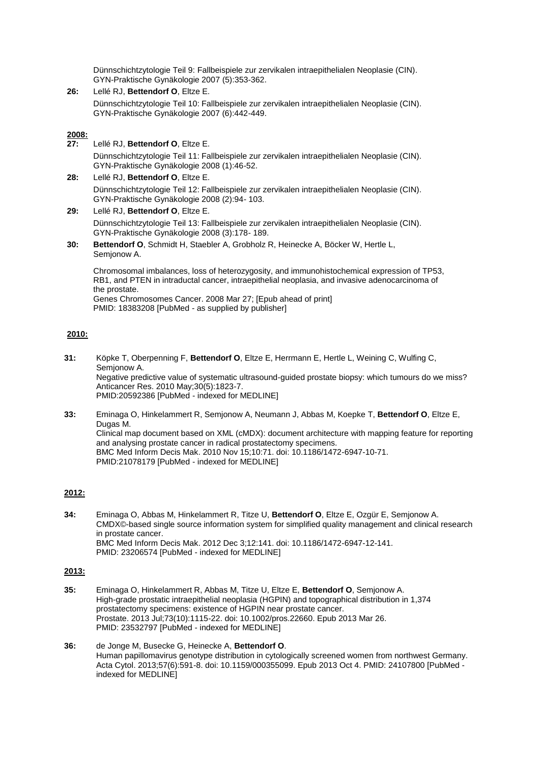Dünnschichtzytologie Teil 9: Fallbeispiele zur zervikalen intraepithelialen Neoplasie (CIN). GYN-Praktische Gynäkologie 2007 (5):353-362.

**26:** Lellé RJ, **Bettendorf O**, Eltze E. Dünnschichtzytologie Teil 10: Fallbeispiele zur zervikalen intraepithelialen Neoplasie (CIN). GYN-Praktische Gynäkologie 2007 (6):442-449.

### **2008:**

**27:** Lellé RJ, **Bettendorf O**, Eltze E.

Dünnschichtzytologie Teil 11: Fallbeispiele zur zervikalen intraepithelialen Neoplasie (CIN). GYN-Praktische Gynäkologie 2008 (1):46-52.

**28:** Lellé RJ, **Bettendorf O**, Eltze E.

Dünnschichtzytologie Teil 12: Fallbeispiele zur zervikalen intraepithelialen Neoplasie (CIN). GYN-Praktische Gynäkologie 2008 (2):94- 103.

**29:** Lellé RJ, **Bettendorf O**, Eltze E.

Dünnschichtzytologie Teil 13: Fallbeispiele zur zervikalen intraepithelialen Neoplasie (CIN). GYN-Praktische Gynäkologie 2008 (3):178- 189.

**30: Bettendorf O**, Schmidt H, Staebler A, Grobholz R, Heinecke A, Böcker W, Hertle L, Semjonow A.

Chromosomal imbalances, loss of heterozygosity, and immunohistochemical expression of TP53, RB1, and PTEN in intraductal cancer, intraepithelial neoplasia, and invasive adenocarcinoma of the prostate.

Genes Chromosomes Cancer. 2008 Mar 27; [Epub ahead of print] PMID: 18383208 [PubMed - as supplied by publisher]

# **2010:**

- **31:** Köpke T, Oberpenning F, **Bettendorf O**, Eltze E, Herrmann E, Hertle L, Weining C, Wulfing C, Semjonow A. [Negative predictive value of systematic ultrasound-guided prostate biopsy: which tumours do we miss?](http://www.ncbi.nlm.nih.gov/pubmed/20592386) Anticancer Res. 2010 May;30(5):1823-7. PMID:20592386 [PubMed - indexed for MEDLINE]
- **33:** Eminaga O, Hinkelammert R, Semjonow A, Neumann J, Abbas M, Koepke T, **Bettendorf O**, Eltze E, Dugas M. [Clinical map document based on XML \(cMDX\): document architecture with mapping feature for reporting](http://www.ncbi.nlm.nih.gov/pubmed/21078179)  [and analysing prostate cancer in radical prostatectomy specimens.](http://www.ncbi.nlm.nih.gov/pubmed/21078179) BMC Med Inform Decis Mak. 2010 Nov 15;10:71. doi: 10.1186/1472-6947-10-71. PMID:21078179 [PubMed - indexed for MEDLINE]

# **2012:**

**34:** Eminaga O, Abbas M, Hinkelammert R, Titze U, **Bettendorf O**, Eltze E, Ozgür E, Semjonow A. [CMDX©-based single source information system for simplified quality management and clinical research](http://www.ncbi.nlm.nih.gov/pubmed/23206574)  [in prostate cancer.](http://www.ncbi.nlm.nih.gov/pubmed/23206574) BMC Med Inform Decis Mak. 2012 Dec 3;12:141. doi: 10.1186/1472-6947-12-141. PMID: 23206574 [PubMed - indexed for MEDLINE]

### **2013:**

- **35:** Eminaga O, Hinkelammert R, Abbas M, Titze U, Eltze E, **Bettendorf O**, Semjonow A. High-grade prostatic intraepithelial neoplasia [\(HGPIN\) and topographical distribution in 1,374](http://www.ncbi.nlm.nih.gov/pubmed/23532797)  [prostatectomy specimens: existence of HGPIN near prostate cancer.](http://www.ncbi.nlm.nih.gov/pubmed/23532797) Prostate. 2013 Jul;73(10):1115-22. doi: 10.1002/pros.22660. Epub 2013 Mar 26. PMID: 23532797 [PubMed - indexed for MEDLINE]
- **36:** de Jonge M, Busecke G, Heinecke A, **Bettendorf O**. [Human papillomavirus genotype distribution in cytologically screened women from northwest Germany.](http://www.ncbi.nlm.nih.gov/pubmed/24107800) Acta Cytol. 2013;57(6):591-8. doi: 10.1159/000355099. Epub 2013 Oct 4. PMID: 24107800 [PubMed indexed for MEDLINE]